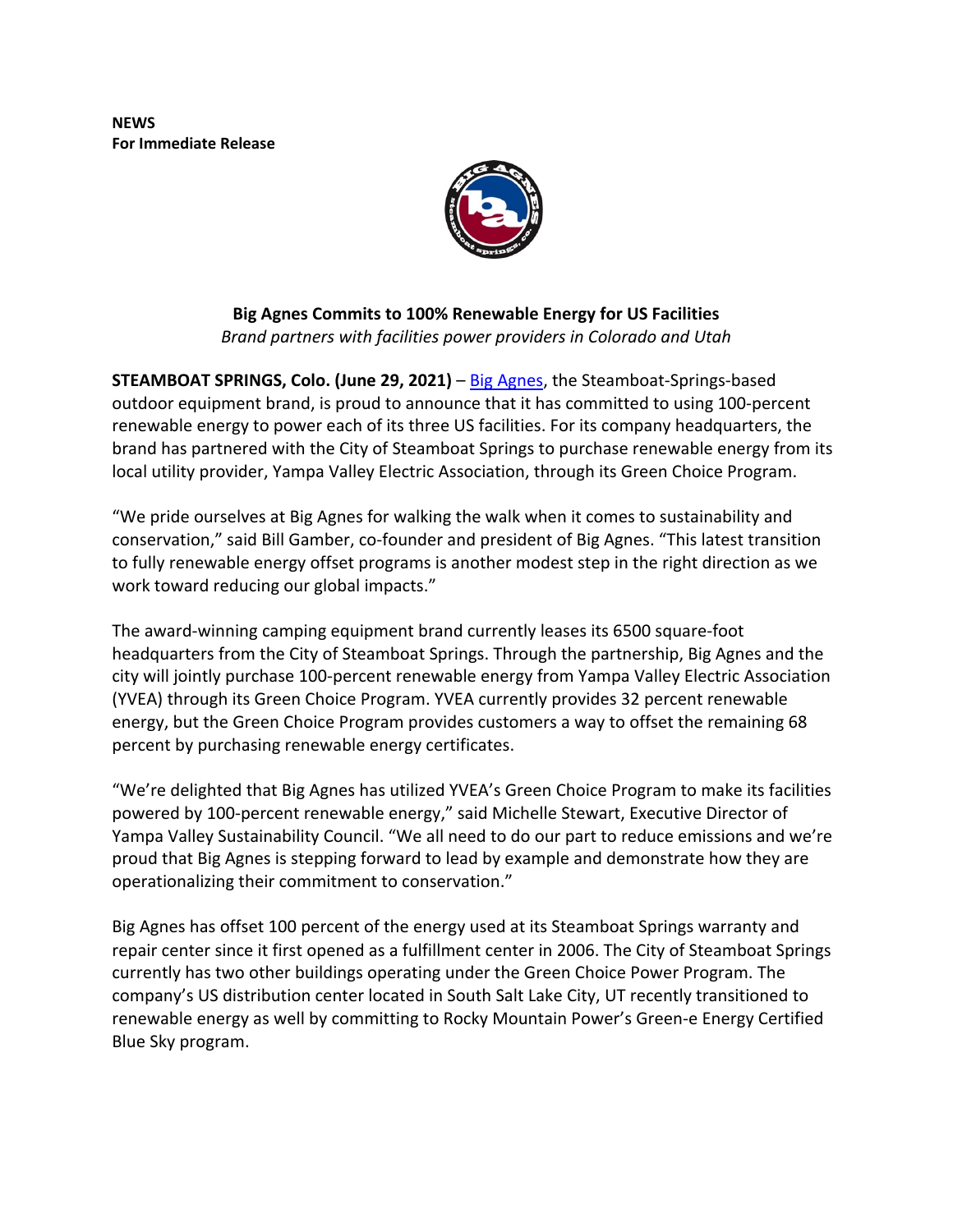**NEWS For Immediate Release**



**Big Agnes Commits to 100% Renewable Energy for US Facilities** *Brand partners with facilities power providers in Colorado and Utah* 

**STEAMBOAT SPRINGS, Colo. (June 29, 2021)** – Big Agnes, the Steamboat-Springs-based outdoor equipment brand, is proud to announce that it has committed to using 100-percent renewable energy to power each of its three US facilities. For its company headquarters, the brand has partnered with the City of Steamboat Springs to purchase renewable energy from its local utility provider, Yampa Valley Electric Association, through its Green Choice Program.

"We pride ourselves at Big Agnes for walking the walk when it comes to sustainability and conservation," said Bill Gamber, co-founder and president of Big Agnes. "This latest transition to fully renewable energy offset programs is another modest step in the right direction as we work toward reducing our global impacts."

The award-winning camping equipment brand currently leases its 6500 square-foot headquarters from the City of Steamboat Springs. Through the partnership, Big Agnes and the city will jointly purchase 100-percent renewable energy from Yampa Valley Electric Association (YVEA) through its Green Choice Program. YVEA currently provides 32 percent renewable energy, but the Green Choice Program provides customers a way to offset the remaining 68 percent by purchasing renewable energy certificates.

"We're delighted that Big Agnes has utilized YVEA's Green Choice Program to make its facilities powered by 100-percent renewable energy," said Michelle Stewart, Executive Director of Yampa Valley Sustainability Council. "We all need to do our part to reduce emissions and we're proud that Big Agnes is stepping forward to lead by example and demonstrate how they are operationalizing their commitment to conservation."

Big Agnes has offset 100 percent of the energy used at its Steamboat Springs warranty and repair center since it first opened as a fulfillment center in 2006. The City of Steamboat Springs currently has two other buildings operating under the Green Choice Power Program. The company's US distribution center located in South Salt Lake City, UT recently transitioned to renewable energy as well by committing to Rocky Mountain Power's Green-e Energy Certified Blue Sky program.